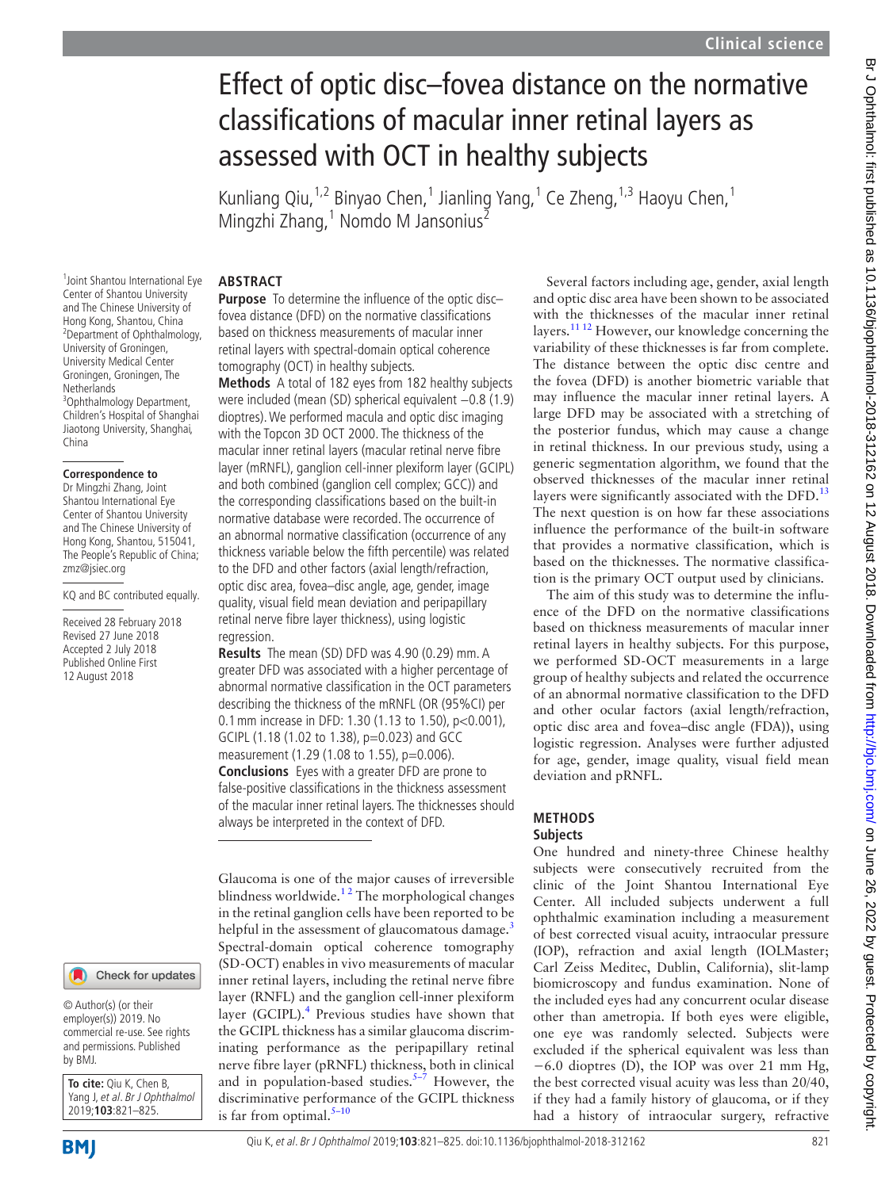# Effect of optic disc–fovea distance on the normative classifications of macular inner retinal layers as assessed with OCT in healthy subjects

Kunliang Qiu,<sup>1,2</sup> Binyao Chen,<sup>1</sup> Jianling Yang,<sup>1</sup> Ce Zheng,<sup>1,3</sup> Haoyu Chen,<sup>1</sup> Mingzhi Zhang,<sup>1</sup> Nomdo M Jansonius<sup>2</sup>

# **Abstract**

1 Joint Shantou International Eye Center of Shantou University and The Chinese University of Hong Kong, Shantou, China 2 Department of Ophthalmology, University of Groningen, University Medical Center Groningen, Groningen, The **Netherlands** <sup>3</sup>Ophthalmology Department, Children's Hospital of Shanghai Jiaotong University, Shanghai, China

#### **Correspondence to**

Dr Mingzhi Zhang, Joint Shantou International Eye Center of Shantou University and The Chinese University of Hong Kong, Shantou, 515041, The People's Republic of China; zmz@jsiec.org

KQ and BC contributed equally.

Received 28 February 2018 Revised 27 June 2018 Accepted 2 July 2018 Published Online First 12 August 2018

# Check for updates

© Author(s) (or their employer(s)) 2019. No commercial re-use. See rights and permissions. Published by BMJ.

**To cite:** Qiu K, Chen B, Yang J, et al. Br J Ophthalmol 2019;**103**:821–825.

**BMI** 

**Purpose** To determine the influence of the optic discfovea distance (DFD) on the normative classifications based on thickness measurements of macular inner retinal layers with spectral-domain optical coherence tomography (OCT) in healthy subjects.

**Methods** A total of 182 eyes from 182 healthy subjects were included (mean (SD) spherical equivalent −0.8 (1.9) dioptres). We performed macula and optic disc imaging with the Topcon 3D OCT 2000. The thickness of the macular inner retinal layers (macular retinal nerve fibre layer (mRNFL), ganglion cell-inner plexiform layer (GCIPL) and both combined (ganglion cell complex; GCC)) and the corresponding classifications based on the built-in normative database were recorded. The occurrence of an abnormal normative classification (occurrence of any thickness variable below the fifth percentile) was related to the DFD and other factors (axial length/refraction, optic disc area, fovea–disc angle, age, gender, image quality, visual field mean deviation and peripapillary retinal nerve fibre layer thickness), using logistic regression.

**Results** The mean (SD) DFD was 4.90 (0.29) mm. A greater DFD was associated with a higher percentage of abnormal normative classification in the OCT parameters describing the thickness of the mRNFL (OR (95%CI) per 0.1mm increase in DFD: 1.30 (1.13 to 1.50), p<0.001), GCIPL (1.18 (1.02 to 1.38), p=0.023) and GCC measurement (1.29 (1.08 to 1.55), p=0.006). **Conclusions** Eyes with a greater DFD are prone to false-positive classifications in the thickness assessment of the macular inner retinal layers. The thicknesses should

always be interpreted in the context of DFD.

Glaucoma is one of the major causes of irreversible blindness worldwide.<sup>12</sup> The morphological changes in the retinal ganglion cells have been reported to be helpful in the assessment of glaucomatous damage. $3$ Spectral-domain optical coherence tomography (SD-OCT) enables in vivo measurements of macular inner retinal layers, including the retinal nerve fibre layer (RNFL) and the ganglion cell-inner plexiform layer (GCIPL).<sup>[4](#page-4-2)</sup> Previous studies have shown that the GCIPL thickness has a similar glaucoma discriminating performance as the peripapillary retinal nerve fibre layer (pRNFL) thickness, both in clinical and in population-based studies. $5-7$  However, the discriminative performance of the GCIPL thickness is far from optimal. $5-10$ 

Several factors including age, gender, axial length and optic disc area have been shown to be associated with the thicknesses of the macular inner retinal layers.<sup>11 12</sup> However, our knowledge concerning the variability of these thicknesses is far from complete. The distance between the optic disc centre and the fovea (DFD) is another biometric variable that may influence the macular inner retinal layers. A large DFD may be associated with a stretching of the posterior fundus, which may cause a change in retinal thickness. In our previous study, using a generic segmentation algorithm, we found that the observed thicknesses of the macular inner retinal layers were significantly associated with the DFD.<sup>[13](#page-4-5)</sup> The next question is on how far these associations influence the performance of the built-in software that provides a normative classification, which is based on the thicknesses. The normative classification is the primary OCT output used by clinicians.

The aim of this study was to determine the influence of the DFD on the normative classifications based on thickness measurements of macular inner retinal layers in healthy subjects. For this purpose, we performed SD-OCT measurements in a large group of healthy subjects and related the occurrence of an abnormal normative classification to the DFD and other ocular factors (axial length/refraction, optic disc area and fovea–disc angle (FDA)), using logistic regression. Analyses were further adjusted for age, gender, image quality, visual field mean deviation and pRNFL.

# **Methods Subjects**

One hundred and ninety-three Chinese healthy subjects were consecutively recruited from the clinic of the Joint Shantou International Eye Center. All included subjects underwent a full ophthalmic examination including a measurement of best corrected visual acuity, intraocular pressure (IOP), refraction and axial length (IOLMaster; Carl Zeiss Meditec, Dublin, California), slit-lamp biomicroscopy and fundus examination. None of the included eyes had any concurrent ocular disease other than ametropia. If both eyes were eligible, one eye was randomly selected. Subjects were excluded if the spherical equivalent was less than −6.0 dioptres (D), the IOP was over 21 mm Hg, the best corrected visual acuity was less than 20/40, if they had a family history of glaucoma, or if they had a history of intraocular surgery, refractive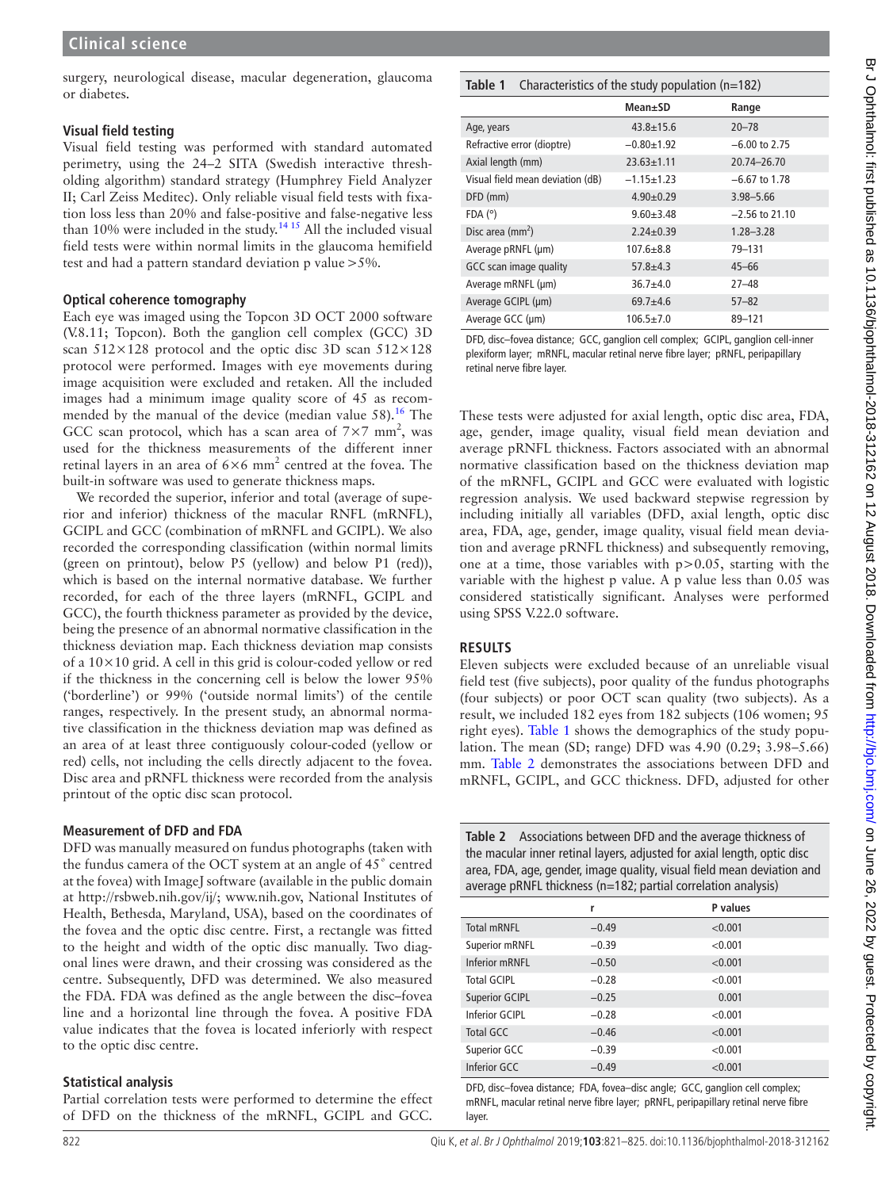surgery, neurological disease, macular degeneration, glaucoma or diabetes.

#### **Visual field testing**

Visual field testing was performed with standard automated perimetry, using the 24–2 SITA (Swedish interactive thresholding algorithm) standard strategy (Humphrey Field Analyzer II; Carl Zeiss Meditec). Only reliable visual field tests with fixation loss less than 20% and false-positive and false-negative less than 10% were included in the study.<sup>14 15</sup> All the included visual field tests were within normal limits in the glaucoma hemifield test and had a pattern standard deviation p value>5%.

### **Optical coherence tomography**

Each eye was imaged using the Topcon 3D OCT 2000 software (V.8.11; Topcon). Both the ganglion cell complex (GCC) 3D scan 512×128 protocol and the optic disc 3D scan 512×128 protocol were performed. Images with eye movements during image acquisition were excluded and retaken. All the included images had a minimum image quality score of 45 as recommended by the manual of the device (median value  $58$ ).<sup>[16](#page-4-7)</sup> The GCC scan protocol, which has a scan area of  $7\times7$  mm<sup>2</sup>, was used for the thickness measurements of the different inner retinal layers in an area of  $6\times6$  mm<sup>2</sup> centred at the fovea. The built-in software was used to generate thickness maps.

We recorded the superior, inferior and total (average of superior and inferior) thickness of the macular RNFL (mRNFL), GCIPL and GCC (combination of mRNFL and GCIPL). We also recorded the corresponding classification (within normal limits (green on printout), below P5 (yellow) and below P1 (red)), which is based on the internal normative database. We further recorded, for each of the three layers (mRNFL, GCIPL and GCC), the fourth thickness parameter as provided by the device, being the presence of an abnormal normative classification in the thickness deviation map. Each thickness deviation map consists of a 10×10 grid. A cell in this grid is colour-coded yellow or red if the thickness in the concerning cell is below the lower 95% ('borderline') or 99% ('outside normal limits') of the centile ranges, respectively. In the present study, an abnormal normative classification in the thickness deviation map was defined as an area of at least three contiguously colour-coded (yellow or red) cells, not including the cells directly adjacent to the fovea. Disc area and pRNFL thickness were recorded from the analysis printout of the optic disc scan protocol.

#### **Measurement of DFD and FDA**

DFD was manually measured on fundus photographs (taken with the fundus camera of the OCT system at an angle of  $45^{\circ}$  centred at the fovea) with ImageJ software (available in the public domain at <http://rsbweb.nih.gov/ij/>; <www.nih.gov>, National Institutes of Health, Bethesda, Maryland, USA), based on the coordinates of the fovea and the optic disc centre. First, a rectangle was fitted to the height and width of the optic disc manually. Two diagonal lines were drawn, and their crossing was considered as the centre. Subsequently, DFD was determined. We also measured the FDA. FDA was defined as the angle between the disc–fovea line and a horizontal line through the fovea. A positive FDA value indicates that the fovea is located inferiorly with respect to the optic disc centre.

# **Statistical analysis**

Partial correlation tests were performed to determine the effect of DFD on the thickness of the mRNFL, GCIPL and GCC.

<span id="page-1-0"></span>

| Table 1                          | Characteristics of the study population ( $n=182$ ) |                 |  |  |  |
|----------------------------------|-----------------------------------------------------|-----------------|--|--|--|
|                                  | Mean±SD                                             | Range           |  |  |  |
| Age, years                       | $43.8 \pm 15.6$                                     | $20 - 78$       |  |  |  |
| Refractive error (dioptre)       | $-0.80 + 1.92$                                      | $-6.00$ to 2.75 |  |  |  |
| Axial length (mm)                | $23.63 \pm 1.11$                                    | 20.74-26.70     |  |  |  |
| Visual field mean deviation (dB) | $-1.15+1.23$                                        | $-6.67$ to 1.78 |  |  |  |
| DFD (mm)                         | $4.90 + 0.29$                                       | $3.98 - 5.66$   |  |  |  |

| FDA (°)                   | $9.60 \pm 3.48$ | $-2.56$ to 21.10 |
|---------------------------|-----------------|------------------|
| Disc area $\text{(mm}^2)$ | $2.24 \pm 0.39$ | $1.28 - 3.28$    |
| Average pRNFL (µm)        | $107.6 \pm 8.8$ | 79-131           |
| GCC scan image quality    | $57.8 + 4.3$    | $45 - 66$        |
| Average mRNFL (µm)        | $36.7 + 4.0$    | $27 - 48$        |
| Average GCIPL (µm)        | $69.7 + 4.6$    | $57 - 82$        |
| Average GCC (µm)          | $106.5 + 7.0$   | 89-121           |

DFD, disc–fovea distance; GCC, ganglion cell complex; GCIPL, ganglion cell-inner plexiform layer; mRNFL, macular retinal nerve fibre layer; pRNFL, peripapillary retinal nerve fibre layer.

These tests were adjusted for axial length, optic disc area, FDA, age, gender, image quality, visual field mean deviation and average pRNFL thickness. Factors associated with an abnormal normative classification based on the thickness deviation map of the mRNFL, GCIPL and GCC were evaluated with logistic regression analysis. We used backward stepwise regression by including initially all variables (DFD, axial length, optic disc area, FDA, age, gender, image quality, visual field mean deviation and average pRNFL thickness) and subsequently removing, one at a time, those variables with  $p > 0.05$ , starting with the variable with the highest p value. A p value less than 0.05 was considered statistically significant. Analyses were performed using SPSS V.22.0 software.

# **Results**

Eleven subjects were excluded because of an unreliable visual field test (five subjects), poor quality of the fundus photographs (four subjects) or poor OCT scan quality (two subjects). As a result, we included 182 eyes from 182 subjects (106 women; 95 right eyes). [Table](#page-1-0) 1 shows the demographics of the study population. The mean (SD; range) DFD was 4.90 (0.29; 3.98–5.66) mm. [Table](#page-1-1) 2 demonstrates the associations between DFD and mRNFL, GCIPL, and GCC thickness. DFD, adjusted for other

<span id="page-1-1"></span>

|                                                                         | Table 2 Associations between DFD and the average thickness of |  |  |  |
|-------------------------------------------------------------------------|---------------------------------------------------------------|--|--|--|
| the macular inner retinal layers, adjusted for axial length, optic disc |                                                               |  |  |  |
| area, FDA, age, gender, image quality, visual field mean deviation and  |                                                               |  |  |  |
| average pRNFL thickness (n=182; partial correlation analysis)           |                                                               |  |  |  |

DFD, disc–fovea distance; FDA, fovea–disc angle; GCC, ganglion cell complex; mRNFL, macular retinal nerve fibre layer; pRNFL, peripapillary retinal nerve fibre layer.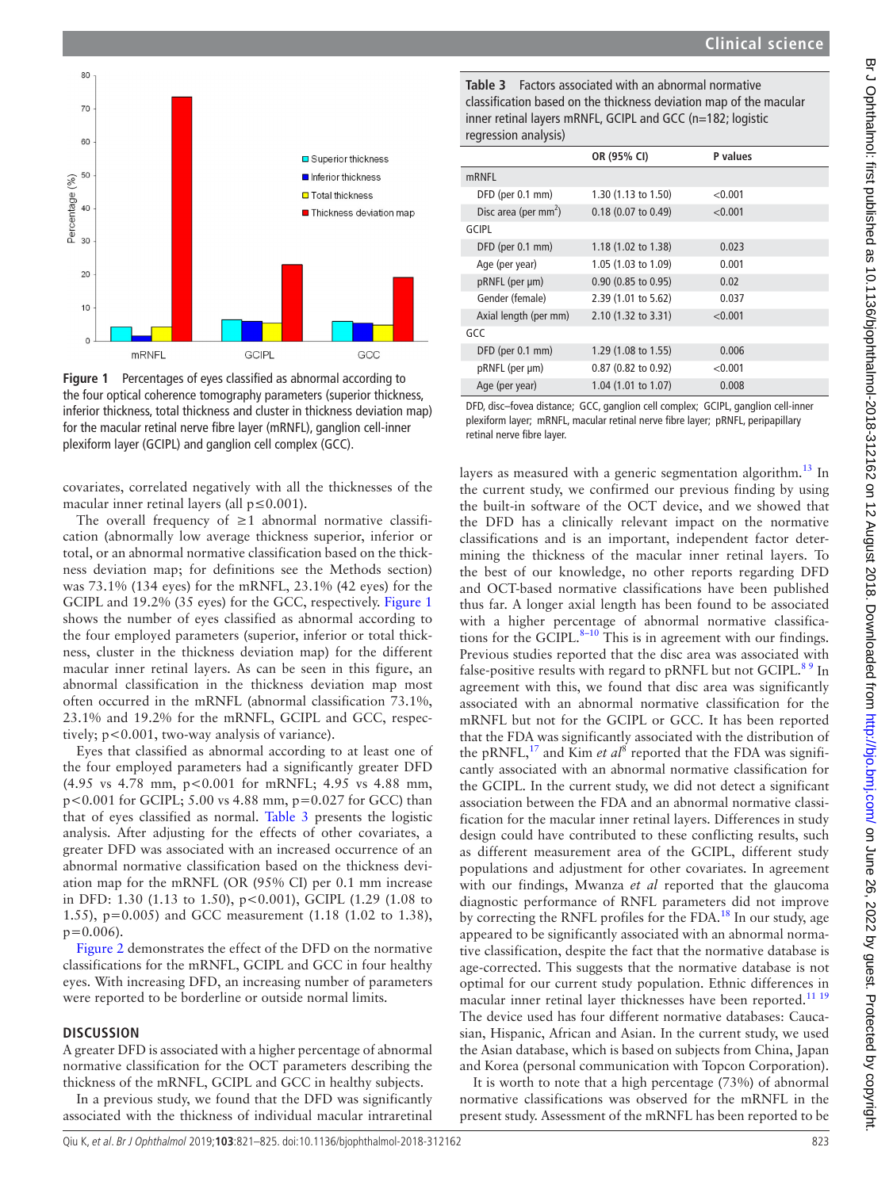

<span id="page-2-0"></span>**Figure 1** Percentages of eyes classified as abnormal according to the four optical coherence tomography parameters (superior thickness, inferior thickness, total thickness and cluster in thickness deviation map) for the macular retinal nerve fibre layer (mRNFL), ganglion cell-inner plexiform layer (GCIPL) and ganglion cell complex (GCC).

covariates, correlated negatively with all the thicknesses of the macular inner retinal layers (all p≤0.001).

The overall frequency of  $\geq 1$  abnormal normative classification (abnormally low average thickness superior, inferior or total, or an abnormal normative classification based on the thickness deviation map; for definitions see the Methods section) was 73.1% (134 eyes) for the mRNFL, 23.1% (42 eyes) for the GCIPL and 19.2% (35 eyes) for the GCC, respectively. [Figure](#page-2-0) 1 shows the number of eyes classified as abnormal according to the four employed parameters (superior, inferior or total thickness, cluster in the thickness deviation map) for the different macular inner retinal layers. As can be seen in this figure, an abnormal classification in the thickness deviation map most often occurred in the mRNFL (abnormal classification 73.1%, 23.1% and 19.2% for the mRNFL, GCIPL and GCC, respectively; p<0.001, two-way analysis of variance).

Eyes that classified as abnormal according to at least one of the four employed parameters had a significantly greater DFD (4.95 vs 4.78 mm, p<0.001 for mRNFL; 4.95 vs 4.88 mm, p<0.001 for GCIPL; 5.00 vs 4.88 mm, p=0.027 for GCC) than that of eyes classified as normal. [Table](#page-2-1) 3 presents the logistic analysis. After adjusting for the effects of other covariates, a greater DFD was associated with an increased occurrence of an abnormal normative classification based on the thickness deviation map for the mRNFL (OR (95% CI) per 0.1 mm increase in DFD: 1.30 (1.13 to 1.50), p<0.001), GCIPL (1.29 (1.08 to 1.55), p=0.005) and GCC measurement (1.18 (1.02 to 1.38),  $p=0.006$ ).

[Figure](#page-3-0) 2 demonstrates the effect of the DFD on the normative classifications for the mRNFL, GCIPL and GCC in four healthy eyes. With increasing DFD, an increasing number of parameters were reported to be borderline or outside normal limits.

#### **Discussion**

A greater DFD is associated with a higher percentage of abnormal normative classification for the OCT parameters describing the thickness of the mRNFL, GCIPL and GCC in healthy subjects.

In a previous study, we found that the DFD was significantly associated with the thickness of individual macular intraretinal <span id="page-2-1"></span>**Table 3** Factors associated with an abnormal normative classification based on the thickness deviation map of the macular inner retinal layers mRNFL, GCIPL and GCC (n=182; logistic regression analysis)

|       |                        | OR (95% CI)           | P values |
|-------|------------------------|-----------------------|----------|
| mRNFL |                        |                       |          |
|       | DFD (per 0.1 mm)       | 1.30 (1.13 to 1.50)   | < 0.001  |
|       | Disc area (per $mm2$ ) | 0.18 (0.07 to 0.49)   | < 0.001  |
| GCIPL |                        |                       |          |
|       | DFD (per 0.1 mm)       | 1.18 (1.02 to 1.38)   | 0.023    |
|       | Age (per year)         | 1.05 (1.03 to 1.09)   | 0.001    |
|       | pRNFL (per um)         | $0.90$ (0.85 to 0.95) | 0.02     |
|       | Gender (female)        | 2.39 (1.01 to 5.62)   | 0.037    |
|       | Axial length (per mm)  | 2.10 (1.32 to 3.31)   | < 0.001  |
| GCC   |                        |                       |          |
|       | DFD (per 0.1 mm)       | 1.29 (1.08 to 1.55)   | 0.006    |
|       | pRNFL (per µm)         | 0.87 (0.82 to 0.92)   | < 0.001  |
|       | Age (per year)         | 1.04 (1.01 to 1.07)   | 0.008    |
|       |                        |                       |          |

DFD, disc–fovea distance; GCC, ganglion cell complex; GCIPL, ganglion cell-inner plexiform layer; mRNFL, macular retinal nerve fibre layer; pRNFL, peripapillary retinal nerve fibre layer.

layers as measured with a generic segmentation algorithm.<sup>13</sup> In the current study, we confirmed our previous finding by using the built-in software of the OCT device, and we showed that the DFD has a clinically relevant impact on the normative classifications and is an important, independent factor determining the thickness of the macular inner retinal layers. To the best of our knowledge, no other reports regarding DFD and OCT-based normative classifications have been published thus far. A longer axial length has been found to be associated with a higher percentage of abnormal normative classifications for the GCIPL. $8-10$  This is in agreement with our findings. Previous studies reported that the disc area was associated with false-positive results with regard to pRNFL but not GCIPL.<sup>89</sup> In agreement with this, we found that disc area was significantly associated with an abnormal normative classification for the mRNFL but not for the GCIPL or GCC. It has been reported that the FDA was significantly associated with the distribution of the pRNFL,<sup>17</sup> and Kim *et al*<sup>[8](#page-4-8)</sup> reported that the FDA was significantly associated with an abnormal normative classification for the GCIPL. In the current study, we did not detect a significant association between the FDA and an abnormal normative classification for the macular inner retinal layers. Differences in study design could have contributed to these conflicting results, such as different measurement area of the GCIPL, different study populations and adjustment for other covariates. In agreement with our findings, Mwanza *et al* reported that the glaucoma diagnostic performance of RNFL parameters did not improve by correcting the RNFL profiles for the FDA.<sup>[18](#page-4-10)</sup> In our study, age appeared to be significantly associated with an abnormal normative classification, despite the fact that the normative database is age-corrected. This suggests that the normative database is not optimal for our current study population. Ethnic differences in macular inner retinal layer thicknesses have been reported.<sup>[11 19](#page-4-4)</sup> The device used has four different normative databases: Caucasian, Hispanic, African and Asian. In the current study, we used the Asian database, which is based on subjects from China, Japan and Korea (personal communication with Topcon Corporation).

It is worth to note that a high percentage (73%) of abnormal normative classifications was observed for the mRNFL in the present study. Assessment of the mRNFL has been reported to be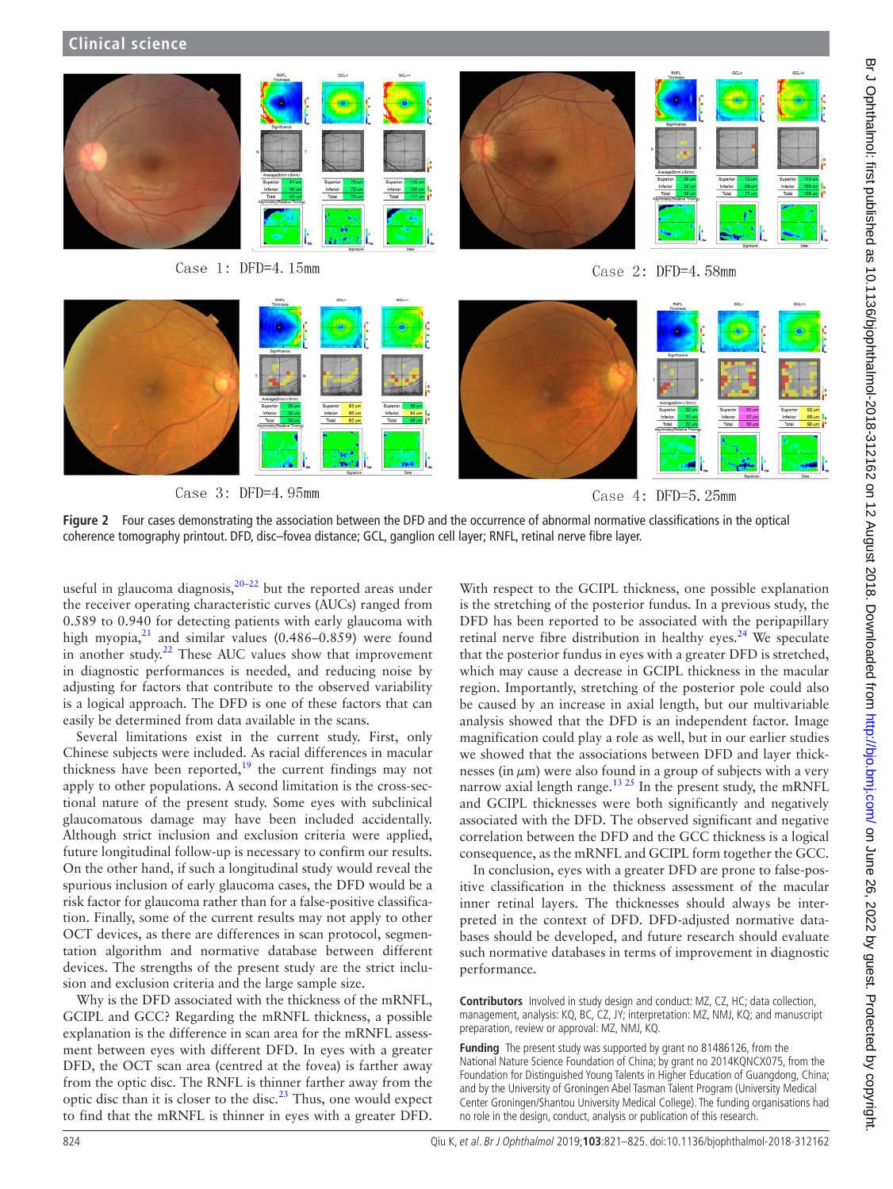

Case 3: DFD=4.95mm

Case 4: DFD=5.25mm

<span id="page-3-0"></span>**Figure 2** Four cases demonstrating the association between the DFD and the occurrence of abnormal normative classifications in the optical coherence tomography printout. DFD, disc–fovea distance; GCL, ganglion cell layer; RNFL, retinal nerve fibre layer.

useful in glaucoma diagnosis, $20-22$  but the reported areas under the receiver operating characteristic curves (AUCs) ranged from 0.589 to 0.940 for detecting patients with early glaucoma with high myopia,<sup>[21](#page-4-12)</sup> and similar values (0.486-0.859) were found in another study. $22$  These AUC values show that improvement in diagnostic performances is needed, and reducing noise by adjusting for factors that contribute to the observed variability is a logical approach. The DFD is one of these factors that can easily be determined from data available in the scans.

Several limitations exist in the current study. First, only Chinese subjects were included. As racial differences in macular thickness have been reported,<sup>19</sup> the current findings may not apply to other populations. A second limitation is the cross-sectional nature of the present study. Some eyes with subclinical glaucomatous damage may have been included accidentally. Although strict inclusion and exclusion criteria were applied, future longitudinal follow-up is necessary to confirm our results. On the other hand, if such a longitudinal study would reveal the spurious inclusion of early glaucoma cases, the DFD would be a risk factor for glaucoma rather than for a false-positive classification. Finally, some of the current results may not apply to other OCT devices, as there are differences in scan protocol, segmentation algorithm and normative database between different devices. The strengths of the present study are the strict inclusion and exclusion criteria and the large sample size.

Why is the DFD associated with the thickness of the mRNFL, GCIPL and GCC? Regarding the mRNFL thickness, a possible explanation is the difference in scan area for the mRNFL assessment between eyes with different DFD. In eyes with a greater DFD, the OCT scan area (centred at the fovea) is farther away from the optic disc. The RNFL is thinner farther away from the optic disc than it is closer to the disc. $^{23}$  Thus, one would expect to find that the mRNFL is thinner in eyes with a greater DFD.

With respect to the GCIPL thickness, one possible explanation is the stretching of the posterior fundus. In a previous study, the DFD has been reported to be associated with the peripapillary retinal nerve fibre distribution in healthy eyes.<sup>24</sup> We speculate that the posterior fundus in eyes with a greater DFD is stretched, which may cause a decrease in GCIPL thickness in the macular region. Importantly, stretching of the posterior pole could also be caused by an increase in axial length, but our multivariable analysis showed that the DFD is an independent factor. Image magnification could play a role as well, but in our earlier studies we showed that the associations between DFD and layer thicknesses (in  $\mu$ m) were also found in a group of subjects with a very narrow axial length range.<sup>13 25</sup> In the present study, the mRNFL and GCIPL thicknesses were both significantly and negatively associated with the DFD. The observed significant and negative correlation between the DFD and the GCC thickness is a logical consequence, as the mRNFL and GCIPL form together the GCC.

In conclusion, eyes with a greater DFD are prone to false-positive classification in the thickness assessment of the macular inner retinal layers. The thicknesses should always be interpreted in the context of DFD. DFD-adjusted normative databases should be developed, and future research should evaluate such normative databases in terms of improvement in diagnostic performance.

**Contributors** Involved in study design and conduct: MZ, CZ, HC; data collection, management, analysis: KQ, BC, CZ, JY; interpretation: MZ, NMJ, KQ; and manuscript preparation, review or approval: MZ, NMJ, KQ.

**Funding** The present study was supported by grant no 81486126, from the National Nature Science Foundation of China; by grant no 2014KQNCX075, from the Foundation for Distinguished Young Talents in Higher Education of Guangdong, China; and by the University of Groningen Abel Tasman Talent Program (University Medical Center Groningen/Shantou University Medical College). The funding organisations had no role in the design, conduct, analysis or publication of this research.